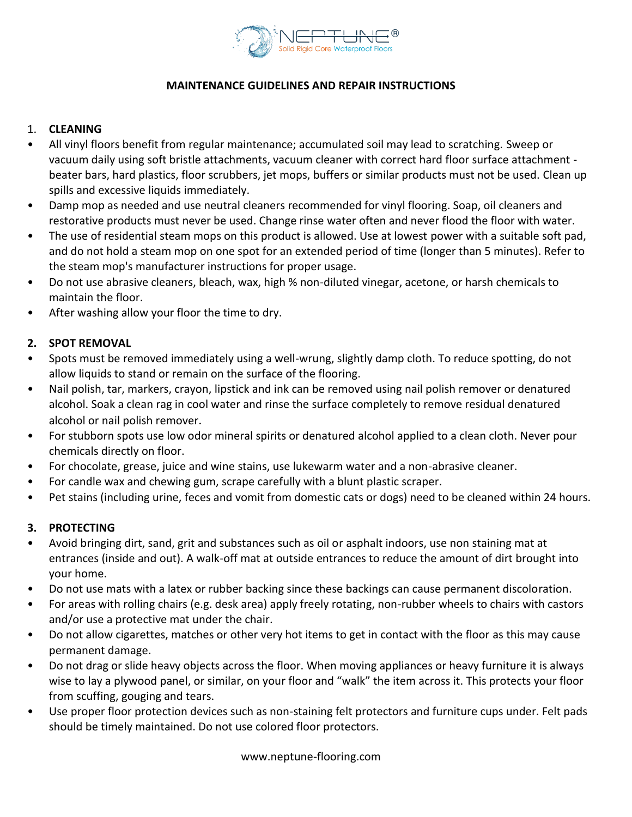

## **MAINTENANCE GUIDELINES AND REPAIR INSTRUCTIONS**

#### 1. **CLEANING**

- All vinyl floors benefit from regular maintenance; accumulated soil may lead to scratching. Sweep or vacuum daily using soft bristle attachments, vacuum cleaner with correct hard floor surface attachment beater bars, hard plastics, floor scrubbers, jet mops, buffers or similar products must not be used. Clean up spills and excessive liquids immediately.
- Damp mop as needed and use neutral cleaners recommended for vinyl flooring. Soap, oil cleaners and restorative products must never be used. Change rinse water often and never flood the floor with water.
- The use of residential steam mops on this product is allowed. Use at lowest power with a suitable soft pad, and do not hold a steam mop on one spot for an extended period of time (longer than 5 minutes). Refer to the steam mop's manufacturer instructions for proper usage.
- Do not use abrasive cleaners, bleach, wax, high % non-diluted vinegar, acetone, or harsh chemicals to maintain the floor.
- After washing allow your floor the time to dry.

# **2. SPOT REMOVAL**

- Spots must be removed immediately using a well-wrung, slightly damp cloth. To reduce spotting, do not allow liquids to stand or remain on the surface of the flooring.
- Nail polish, tar, markers, crayon, lipstick and ink can be removed using nail polish remover or denatured alcohol. Soak a clean rag in cool water and rinse the surface completely to remove residual denatured alcohol or nail polish remover.
- For stubborn spots use low odor mineral spirits or denatured alcohol applied to a clean cloth. Never pour chemicals directly on floor.
- For chocolate, grease, juice and wine stains, use lukewarm water and a non-abrasive cleaner.
- For candle wax and chewing gum, scrape carefully with a blunt plastic scraper.
- Pet stains (including urine, feces and vomit from domestic cats or dogs) need to be cleaned within 24 hours.

# **3. PROTECTING**

- Avoid bringing dirt, sand, grit and substances such as oil or asphalt indoors, use non staining mat at entrances (inside and out). A walk-off mat at outside entrances to reduce the amount of dirt brought into your home.
- Do not use mats with a latex or rubber backing since these backings can cause permanent discoloration.
- For areas with rolling chairs (e.g. desk area) apply freely rotating, non-rubber wheels to chairs with castors and/or use a protective mat under the chair.
- Do not allow cigarettes, matches or other very hot items to get in contact with the floor as this may cause permanent damage.
- Do not drag or slide heavy objects across the floor. When moving appliances or heavy furniture it is always wise to lay a plywood panel, or similar, on your floor and "walk" the item across it. This protects your floor from scuffing, gouging and tears.
- Use proper floor protection devices such as non-staining felt protectors and furniture cups under. Felt pads should be timely maintained. Do not use colored floor protectors.